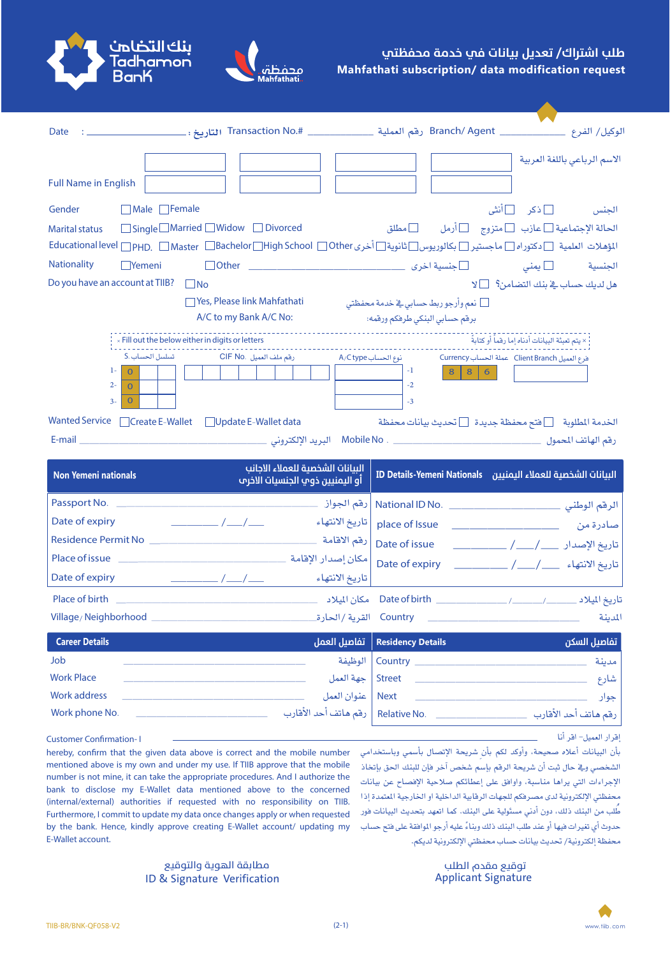## طلب اشتراك/ تعديل بيانات في خدمة محفظتي **Mahfathati subscription/ data modification request**





| <b>Full Name in English</b>                                                           |                                                                                                                                                           |                                                                                        |                                                                      | الاسم الرباعى باللغة العربية                                           |
|---------------------------------------------------------------------------------------|-----------------------------------------------------------------------------------------------------------------------------------------------------------|----------------------------------------------------------------------------------------|----------------------------------------------------------------------|------------------------------------------------------------------------|
| □ Male □ Female<br>Gender<br><b>Marital status</b>                                    | $\Box$ Single $\Box$ Married $\Box$ Widow $\Box$ Divorced                                                                                                 |                                                                                        |                                                                      | الجنس □ ذكر □ أنثى<br>الحالة الإجتماعية □ عازب □ متزوج □ أرمل □ □ مطلق |
|                                                                                       | المؤهلات العلمية الدكتوراه الماجستير العبالوريوس الثانوية التأخرى Educational level Menph, Master MBachelor Migh School Mother المؤهلات العلمية التاديمات |                                                                                        |                                                                      |                                                                        |
| <b>Nationality</b><br>$\Box$ Yemeni                                                   |                                                                                                                                                           |                                                                                        |                                                                      |                                                                        |
| Do you have an account at TIIB? $\Box$ No                                             |                                                                                                                                                           |                                                                                        |                                                                      | هل لديك حساب في بنك التضامن؟ [ ] لا                                    |
|                                                                                       | □ Yes, Please link Mahfathati<br>A/C to my Bank A/C No:                                                                                                   | _ نعم وأرجو ربط حساب <i>ى</i> <u>ف</u> ے خدمة محفظتى<br>برقم حسابي البنكي طرفكم ورقمه: |                                                                      |                                                                        |
|                                                                                       | x Fill out the below either in digits or letters                                                                                                          | --------------------------------                                                       |                                                                      | × يتم تعبئة البيانات أدناه إما رقماً أو كتابةً                         |
| تسلسل الحساب .S<br>$1 - 1$<br>$\Omega$<br>$2 -$<br>$\Omega$<br>$3-$<br>$\overline{0}$ | رقم ملف العميل .CIF No                                                                                                                                    | نوع الحساب A/C type<br>$-1$<br>$-2$<br>$-3$                                            | فرع العميل Client Branch   عملة الحساب Currency<br>$8 \mid 8 \mid 6$ |                                                                        |
|                                                                                       | Wanted Service Create E-Wallet CUpdate E-Wallet data                                                                                                      |                                                                                        |                                                                      | الخدمة المطلوبة △ [عنتم محفظة جديدة ۞ تحديث بيانات محفظة               |
|                                                                                       |                                                                                                                                                           |                                                                                        |                                                                      |                                                                        |
| <b>Non Yemeni nationals</b>                                                           | البيانات الشخصية للعملاء الاجانب<br>أو اليمنيين ذوي الجنسيات الاخرم                                                                                       |                                                                                        |                                                                      | البيانات الشخصية للعملاء اليمنيين ID Details-Yemeni Nationals          |
|                                                                                       |                                                                                                                                                           |                                                                                        |                                                                      | الرقم الوطني ___________________________ National ID No.               |
| Date of expiry                                                                        | $\frac{\frac{1}{2}}{2}$<br>تاريخ الانتهاء                                                                                                                 | place of Issue                                                                         |                                                                      |                                                                        |
|                                                                                       |                                                                                                                                                           | Date of issue                                                                          |                                                                      |                                                                        |
|                                                                                       |                                                                                                                                                           |                                                                                        |                                                                      | تاريخ الانتهاء ___/ / / / / / / / Date of expiry                       |
|                                                                                       |                                                                                                                                                           |                                                                                        |                                                                      |                                                                        |
|                                                                                       |                                                                                                                                                           |                                                                                        |                                                                      | المدينة                                                                |
| <b>Career Details</b>                                                                 |                                                                                                                                                           | تفاصيل العمل<br><b>Residency Details</b>                                               |                                                                      | تفاصيل السكن                                                           |
| Job                                                                                   |                                                                                                                                                           | الوظيفة<br>Country $\_\_$                                                              |                                                                      | مدينة                                                                  |
| <b>Work Place</b>                                                                     |                                                                                                                                                           | جهة العمل<br><b>Street</b>                                                             |                                                                      | شارع                                                                   |
| <b>Work address</b><br>Work phone No.                                                 | رقم هاتف أحد الأقارب                                                                                                                                      | عنوان العمل<br><b>Next</b><br>Relative No. _                                           |                                                                      | جوار<br>رقم هاتف أحد الأقارب                                           |
|                                                                                       |                                                                                                                                                           |                                                                                        |                                                                      |                                                                        |

إقرار العميل- اقر أنا

بأن البيانات أعلاه صحيحة، وأوكد لكم بأن شريحة الإتصال بأسمى وباستخدامي الشخصي وفي حال ثبت أن شريحة الرقم بإسم شخص آخر فإن للبنك الحق بإتخاذ الإجراءات التي يراها مناسبة، وأوافق على إعطائكم صلاحية الإفصاح عن بيانات محفظتي الإلكترونية لدى مصرفكم للجهات الرقابية الداخلية او الخارجية المتمدة إذا طُّلب من البنك ذلك، دون أدني مسئولية على البنك. كما اتعهد بتحديث البيانات فور حدوث أي تغير ات فيها أو عند طلب البنك ذلك وبناءً عليه أرجو الموافقة على فتح حساب محفظة إلكترونية/ تحديث بيانات حساب محفظتي الإلكترونية لديكم.

hereby, confirm that the given data above is correct and the mobile number mentioned above is my own and under my use. If TIIB approve that the mobile number is not mine, it can take the appropriate procedures. And I authorize the bank to disclose my E-Wallet data mentioned above to the concerned (internal/external) authorities if requested with no responsibility on TIIB. Furthermore, I commit to update my data once changes apply or when requested by the bank. Hence, kindly approve creating E-Wallet account/ updating my E-Wallet account.

> ID & Signature Verification Applicant Signature توقيع مقدم الطلب للمستخدم المعالم المعالم المعالم المعالم المستخدم المستخدم المستخدمة المستخدمة المستخدمة المس



**Customer Confirmation-1**